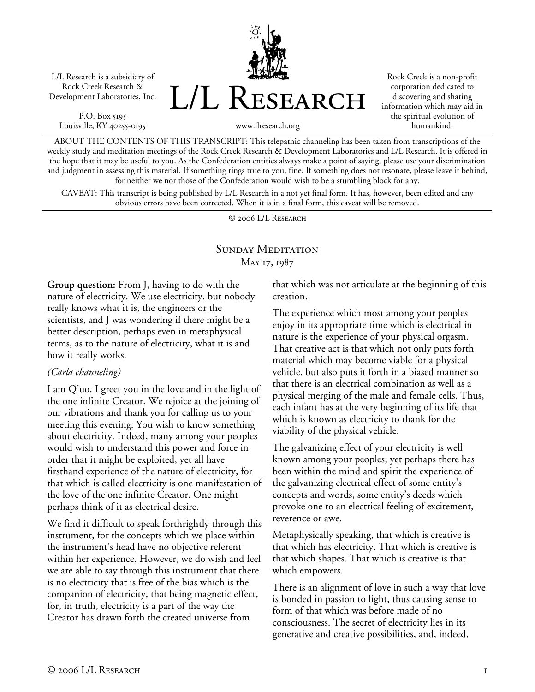L/L Research is a subsidiary of Rock Creek Research & Development Laboratories, Inc.

P.O. Box 5195 Louisville, KY 40255-0195



Rock Creek is a non-profit corporation dedicated to discovering and sharing information which may aid in the spiritual evolution of humankind.

www.llresearch.org

ABOUT THE CONTENTS OF THIS TRANSCRIPT: This telepathic channeling has been taken from transcriptions of the weekly study and meditation meetings of the Rock Creek Research & Development Laboratories and L/L Research. It is offered in the hope that it may be useful to you. As the Confederation entities always make a point of saying, please use your discrimination and judgment in assessing this material. If something rings true to you, fine. If something does not resonate, please leave it behind, for neither we nor those of the Confederation would wish to be a stumbling block for any.

CAVEAT: This transcript is being published by L/L Research in a not yet final form. It has, however, been edited and any obvious errors have been corrected. When it is in a final form, this caveat will be removed.

© 2006 L/L Research

# SUNDAY MEDITATION May 17, 1987

**Group question:** From J, having to do with the nature of electricity. We use electricity, but nobody really knows what it is, the engineers or the scientists, and J was wondering if there might be a better description, perhaps even in metaphysical terms, as to the nature of electricity, what it is and how it really works.

## *(Carla channeling)*

I am Q'uo. I greet you in the love and in the light of the one infinite Creator. We rejoice at the joining of our vibrations and thank you for calling us to your meeting this evening. You wish to know something about electricity. Indeed, many among your peoples would wish to understand this power and force in order that it might be exploited, yet all have firsthand experience of the nature of electricity, for that which is called electricity is one manifestation of the love of the one infinite Creator. One might perhaps think of it as electrical desire.

We find it difficult to speak forthrightly through this instrument, for the concepts which we place within the instrument's head have no objective referent within her experience. However, we do wish and feel we are able to say through this instrument that there is no electricity that is free of the bias which is the companion of electricity, that being magnetic effect, for, in truth, electricity is a part of the way the Creator has drawn forth the created universe from

that which was not articulate at the beginning of this creation.

The experience which most among your peoples enjoy in its appropriate time which is electrical in nature is the experience of your physical orgasm. That creative act is that which not only puts forth material which may become viable for a physical vehicle, but also puts it forth in a biased manner so that there is an electrical combination as well as a physical merging of the male and female cells. Thus, each infant has at the very beginning of its life that which is known as electricity to thank for the viability of the physical vehicle.

The galvanizing effect of your electricity is well known among your peoples, yet perhaps there has been within the mind and spirit the experience of the galvanizing electrical effect of some entity's concepts and words, some entity's deeds which provoke one to an electrical feeling of excitement, reverence or awe.

Metaphysically speaking, that which is creative is that which has electricity. That which is creative is that which shapes. That which is creative is that which empowers.

There is an alignment of love in such a way that love is bonded in passion to light, thus causing sense to form of that which was before made of no consciousness. The secret of electricity lies in its generative and creative possibilities, and, indeed,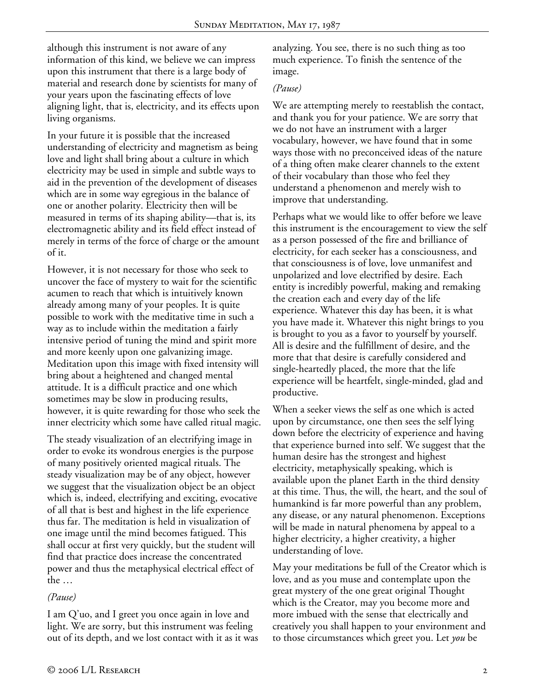although this instrument is not aware of any information of this kind, we believe we can impress upon this instrument that there is a large body of material and research done by scientists for many of your years upon the fascinating effects of love aligning light, that is, electricity, and its effects upon living organisms.

In your future it is possible that the increased understanding of electricity and magnetism as being love and light shall bring about a culture in which electricity may be used in simple and subtle ways to aid in the prevention of the development of diseases which are in some way egregious in the balance of one or another polarity. Electricity then will be measured in terms of its shaping ability—that is, its electromagnetic ability and its field effect instead of merely in terms of the force of charge or the amount of it.

However, it is not necessary for those who seek to uncover the face of mystery to wait for the scientific acumen to reach that which is intuitively known already among many of your peoples. It is quite possible to work with the meditative time in such a way as to include within the meditation a fairly intensive period of tuning the mind and spirit more and more keenly upon one galvanizing image. Meditation upon this image with fixed intensity will bring about a heightened and changed mental attitude. It is a difficult practice and one which sometimes may be slow in producing results, however, it is quite rewarding for those who seek the inner electricity which some have called ritual magic.

The steady visualization of an electrifying image in order to evoke its wondrous energies is the purpose of many positively oriented magical rituals. The steady visualization may be of any object, however we suggest that the visualization object be an object which is, indeed, electrifying and exciting, evocative of all that is best and highest in the life experience thus far. The meditation is held in visualization of one image until the mind becomes fatigued. This shall occur at first very quickly, but the student will find that practice does increase the concentrated power and thus the metaphysical electrical effect of the …

## *(Pause)*

I am Q'uo, and I greet you once again in love and light. We are sorry, but this instrument was feeling out of its depth, and we lost contact with it as it was analyzing. You see, there is no such thing as too much experience. To finish the sentence of the image.

## *(Pause)*

We are attempting merely to reestablish the contact, and thank you for your patience. We are sorry that we do not have an instrument with a larger vocabulary, however, we have found that in some ways those with no preconceived ideas of the nature of a thing often make clearer channels to the extent of their vocabulary than those who feel they understand a phenomenon and merely wish to improve that understanding.

Perhaps what we would like to offer before we leave this instrument is the encouragement to view the self as a person possessed of the fire and brilliance of electricity, for each seeker has a consciousness, and that consciousness is of love, love unmanifest and unpolarized and love electrified by desire. Each entity is incredibly powerful, making and remaking the creation each and every day of the life experience. Whatever this day has been, it is what you have made it. Whatever this night brings to you is brought to you as a favor to yourself by yourself. All is desire and the fulfillment of desire, and the more that that desire is carefully considered and single-heartedly placed, the more that the life experience will be heartfelt, single-minded, glad and productive.

When a seeker views the self as one which is acted upon by circumstance, one then sees the self lying down before the electricity of experience and having that experience burned into self. We suggest that the human desire has the strongest and highest electricity, metaphysically speaking, which is available upon the planet Earth in the third density at this time. Thus, the will, the heart, and the soul of humankind is far more powerful than any problem, any disease, or any natural phenomenon. Exceptions will be made in natural phenomena by appeal to a higher electricity, a higher creativity, a higher understanding of love.

May your meditations be full of the Creator which is love, and as you muse and contemplate upon the great mystery of the one great original Thought which is the Creator, may you become more and more imbued with the sense that electrically and creatively you shall happen to your environment and to those circumstances which greet you. Let *you* be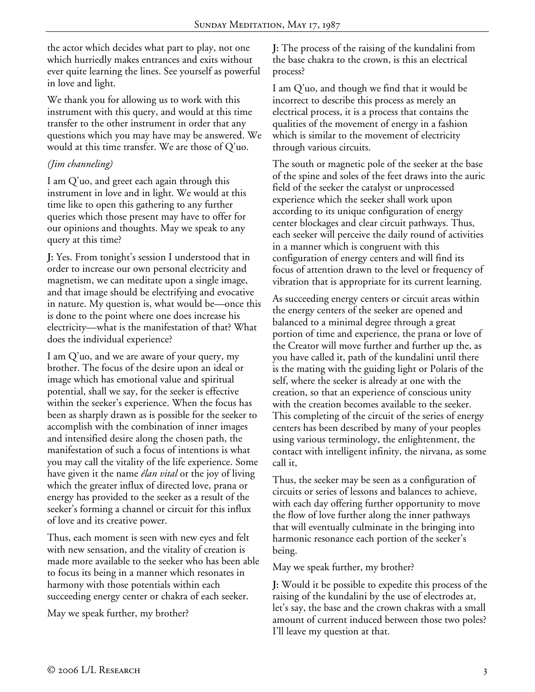the actor which decides what part to play, not one which hurriedly makes entrances and exits without ever quite learning the lines. See yourself as powerful in love and light.

We thank you for allowing us to work with this instrument with this query, and would at this time transfer to the other instrument in order that any questions which you may have may be answered. We would at this time transfer. We are those of Q'uo.

# *(Jim channeling)*

I am Q'uo, and greet each again through this instrument in love and in light. We would at this time like to open this gathering to any further queries which those present may have to offer for our opinions and thoughts. May we speak to any query at this time?

**J:** Yes. From tonight's session I understood that in order to increase our own personal electricity and magnetism, we can meditate upon a single image, and that image should be electrifying and evocative in nature. My question is, what would be—once this is done to the point where one does increase his electricity—what is the manifestation of that? What does the individual experience?

I am Q'uo, and we are aware of your query, my brother. The focus of the desire upon an ideal or image which has emotional value and spiritual potential, shall we say, for the seeker is effective within the seeker's experience. When the focus has been as sharply drawn as is possible for the seeker to accomplish with the combination of inner images and intensified desire along the chosen path, the manifestation of such a focus of intentions is what you may call the vitality of the life experience. Some have given it the name *élan vital* or the joy of living which the greater influx of directed love, prana or energy has provided to the seeker as a result of the seeker's forming a channel or circuit for this influx of love and its creative power.

Thus, each moment is seen with new eyes and felt with new sensation, and the vitality of creation is made more available to the seeker who has been able to focus its being in a manner which resonates in harmony with those potentials within each succeeding energy center or chakra of each seeker.

May we speak further, my brother?

**J:** The process of the raising of the kundalini from the base chakra to the crown, is this an electrical process?

I am Q'uo, and though we find that it would be incorrect to describe this process as merely an electrical process, it is a process that contains the qualities of the movement of energy in a fashion which is similar to the movement of electricity through various circuits.

The south or magnetic pole of the seeker at the base of the spine and soles of the feet draws into the auric field of the seeker the catalyst or unprocessed experience which the seeker shall work upon according to its unique configuration of energy center blockages and clear circuit pathways. Thus, each seeker will perceive the daily round of activities in a manner which is congruent with this configuration of energy centers and will find its focus of attention drawn to the level or frequency of vibration that is appropriate for its current learning.

As succeeding energy centers or circuit areas within the energy centers of the seeker are opened and balanced to a minimal degree through a great portion of time and experience, the prana or love of the Creator will move further and further up the, as you have called it, path of the kundalini until there is the mating with the guiding light or Polaris of the self, where the seeker is already at one with the creation, so that an experience of conscious unity with the creation becomes available to the seeker. This completing of the circuit of the series of energy centers has been described by many of your peoples using various terminology, the enlightenment, the contact with intelligent infinity, the nirvana, as some call it,

Thus, the seeker may be seen as a configuration of circuits or series of lessons and balances to achieve, with each day offering further opportunity to move the flow of love further along the inner pathways that will eventually culminate in the bringing into harmonic resonance each portion of the seeker's being.

May we speak further, my brother?

**J:** Would it be possible to expedite this process of the raising of the kundalini by the use of electrodes at, let's say, the base and the crown chakras with a small amount of current induced between those two poles? I'll leave my question at that.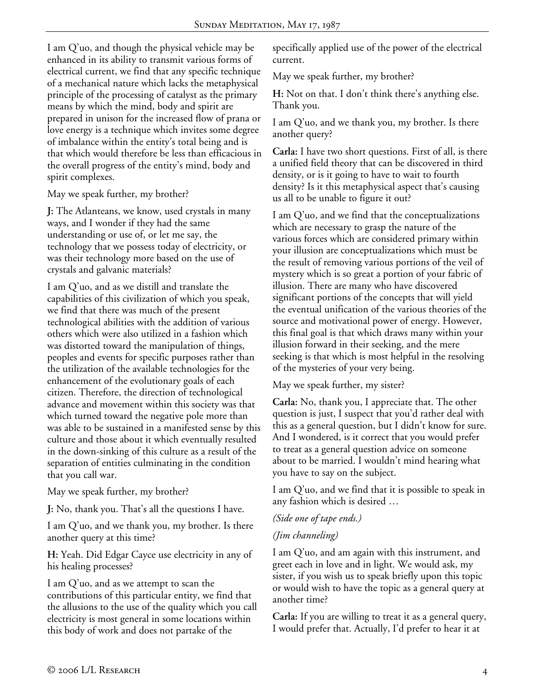I am Q'uo, and though the physical vehicle may be enhanced in its ability to transmit various forms of electrical current, we find that any specific technique of a mechanical nature which lacks the metaphysical principle of the processing of catalyst as the primary means by which the mind, body and spirit are prepared in unison for the increased flow of prana or love energy is a technique which invites some degree of imbalance within the entity's total being and is that which would therefore be less than efficacious in the overall progress of the entity's mind, body and spirit complexes.

May we speak further, my brother?

**J:** The Atlanteans, we know, used crystals in many ways, and I wonder if they had the same understanding or use of, or let me say, the technology that we possess today of electricity, or was their technology more based on the use of crystals and galvanic materials?

I am Q'uo, and as we distill and translate the capabilities of this civilization of which you speak, we find that there was much of the present technological abilities with the addition of various others which were also utilized in a fashion which was distorted toward the manipulation of things, peoples and events for specific purposes rather than the utilization of the available technologies for the enhancement of the evolutionary goals of each citizen. Therefore, the direction of technological advance and movement within this society was that which turned toward the negative pole more than was able to be sustained in a manifested sense by this culture and those about it which eventually resulted in the down-sinking of this culture as a result of the separation of entities culminating in the condition that you call war.

May we speak further, my brother?

**J:** No, thank you. That's all the questions I have.

I am Q'uo, and we thank you, my brother. Is there another query at this time?

**H:** Yeah. Did Edgar Cayce use electricity in any of his healing processes?

I am Q'uo, and as we attempt to scan the contributions of this particular entity, we find that the allusions to the use of the quality which you call electricity is most general in some locations within this body of work and does not partake of the

specifically applied use of the power of the electrical current.

May we speak further, my brother?

**H:** Not on that. I don't think there's anything else. Thank you.

I am Q'uo, and we thank you, my brother. Is there another query?

**Carla:** I have two short questions. First of all, is there a unified field theory that can be discovered in third density, or is it going to have to wait to fourth density? Is it this metaphysical aspect that's causing us all to be unable to figure it out?

I am Q'uo, and we find that the conceptualizations which are necessary to grasp the nature of the various forces which are considered primary within your illusion are conceptualizations which must be the result of removing various portions of the veil of mystery which is so great a portion of your fabric of illusion. There are many who have discovered significant portions of the concepts that will yield the eventual unification of the various theories of the source and motivational power of energy. However, this final goal is that which draws many within your illusion forward in their seeking, and the mere seeking is that which is most helpful in the resolving of the mysteries of your very being.

May we speak further, my sister?

**Carla:** No, thank you, I appreciate that. The other question is just, I suspect that you'd rather deal with this as a general question, but I didn't know for sure. And I wondered, is it correct that you would prefer to treat as a general question advice on someone about to be married. I wouldn't mind hearing what you have to say on the subject.

I am Q'uo, and we find that it is possible to speak in any fashion which is desired …

*(Side one of tape ends.)* 

# *(Jim channeling)*

I am Q'uo, and am again with this instrument, and greet each in love and in light. We would ask, my sister, if you wish us to speak briefly upon this topic or would wish to have the topic as a general query at another time?

**Carla:** If you are willing to treat it as a general query, I would prefer that. Actually, I'd prefer to hear it at